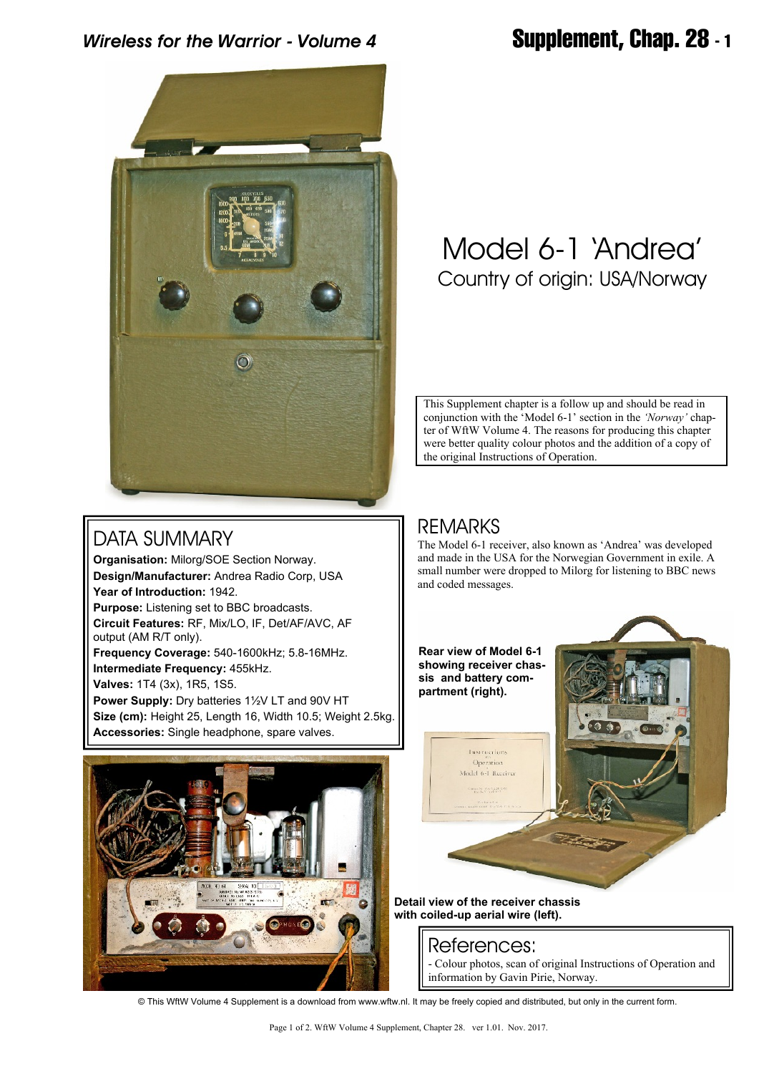# *Wireless for the Warrior - Volume 4* **Supplement, Chap. 28 - 1**



# Model 6-1 'Andrea' Country of origin: USA/Norway

This Supplement chapter is a follow up and should be read in conjunction with the 'Model 6-1' section in the *'Norway'* chapter of WftW Volume 4. The reasons for producing this chapter were better quality colour photos and the addition of a copy of the original Instructions of Operation.

## DATA SUMMARY

**Organisation:** Milorg/SOE Section Norway. **Design/Manufacturer:** Andrea Radio Corp, USA **Year of Introduction:** 1942. **Purpose:** Listening set to BBC broadcasts.

**Circuit Features:** RF, Mix/LO, IF, Det/AF/AVC, AF output (AM R/T only).

**Frequency Coverage:** 540-1600kHz; 5.8-16MHz. **Intermediate Frequency:** 455kHz. **Valves:** 1T4 (3x), 1R5, 1S5.

**Power Supply:** Dry batteries 1½V LT and 90V HT **Size (cm):** Height 25, Length 16, Width 10.5; Weight 2.5kg. **Accessories:** Single headphone, spare valves.



REMARKS

The Model 6-1 receiver, also known as 'Andrea' was developed and made in the USA for the Norwegian Government in exile. A small number were dropped to Milorg for listening to BBC news and coded messages.



**Detail view of the receiver chassis with coiled-up aerial wire (left).**

## References:

- Colour photos, scan of original Instructions of Operation and information by Gavin Pirie, Norway.

© This WftW Volume 4 Supplement is a download from www.wftw.nl. It may be freely copied and distributed, but only in the current form.